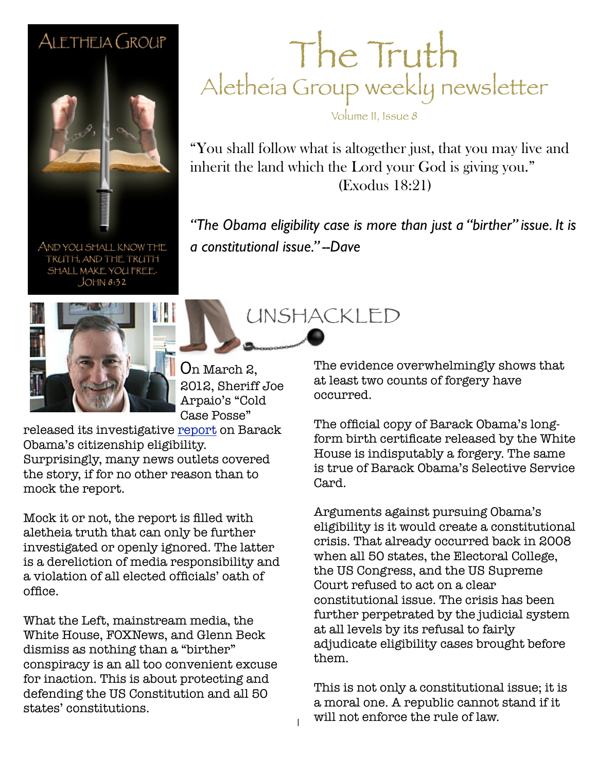## ALETHEIA GROUP



AND YOU SHALL KNOW THE TRUTH, AND THE TRUTH SHALL MAKE YOU FREE.  $JOHN 8:32$ 

The Truth Aletheia Group weekly newsletter

Volume II, Issue 8

"You shall follow what is altogether just, that you may live and inherit the land which the Lord your God is giving you." (Exodus 18:21)

"The Obama eligibility case is more than just a "birther" issue. It is *a constitutional issue." --Dave*

UNSHACKLED



On March 2, 2012, Sheriff Joe Arpaio's "Cold Case Posse"

released its investigative [report](http://www.wnd.com/arpaio-report/) on Barack Obama's citizenship eligibility. Surprisingly, many news outlets covered the story, if for no other reason than to

mock the report.

Mock it or not, the report is filled with aletheia truth that can only be further investigated or openly ignored. The latter is a dereliction of media responsibility and a violation of all elected officials' oath of office.

What the Left, mainstream media, the White House, FOXNews, and Glenn Beck dismiss as nothing than a "birther" conspiracy is an all too convenient excuse for inaction. This is about protecting and defending the US Constitution and all 50 states' constitutions.

The evidence overwhelmingly shows that at least two counts of forgery have occurred.

The official copy of Barack Obama's longform birth certificate released by the White House is indisputably a forgery. The same is true of Barack Obama's Selective Service Card.

Arguments against pursuing Obama's eligibility is it would create a constitutional crisis. That already occurred back in 2008 when all 50 states, the Electoral College, the US Congress, and the US Supreme Court refused to act on a clear constitutional issue. The crisis has been further perpetrated by the judicial system at all levels by its refusal to fairly adjudicate eligibility cases brought before them.

This is not only a constitutional issue; it is a moral one. A republic cannot stand if it will not enforce the rule of law.

1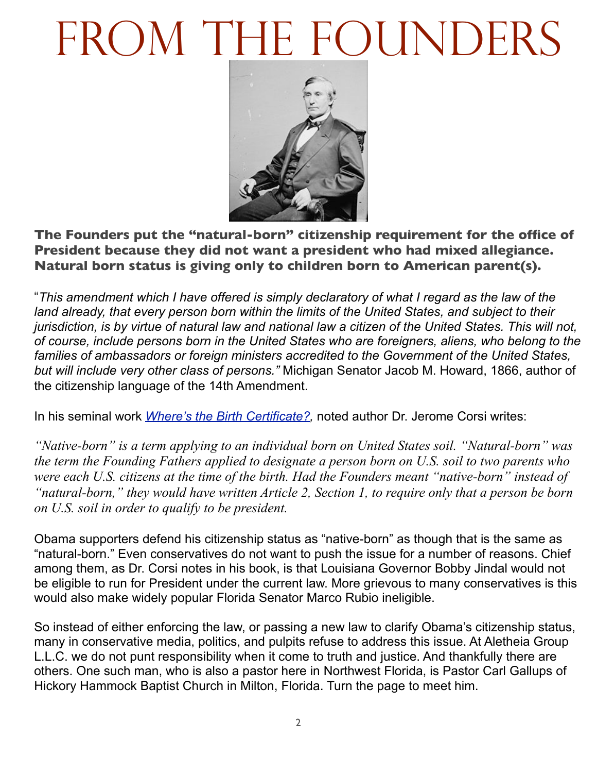## FROM THE FOUNDERS



**The Founders put the "natural-born" citizenship requirement for the office of President because they did not want a president who had mixed allegiance. Natural born status is giving only to children born to American parent(s).**

"*This amendment which I have offered is simply declaratory of what I regard as the law of the*  land already, that every person born within the limits of the United States, and subject to their *jurisdiction, is by virtue of natural law and national law a citizen of the United States. This will not, of course, include persons born in the United States who are foreigners, aliens, who belong to the families of ambassadors or foreign ministers accredited to the Government of the United States, but will include very other class of persons."* Michigan Senator Jacob M. Howard, 1866, author of the citizenship language of the 14th Amendment.

In his seminal work *[Where's the Birth Certificate?,](http://www.amazon.com/Wheres-Birth-Certificate-Eligible-President/dp/1936488299?&linkCode=waf&tag=jeffconsservi-20)* noted author Dr. Jerome Corsi writes:

*"Native-born" is a term applying to an individual born on United States soil. "Natural-born" was the term the Founding Fathers applied to designate a person born on U.S. soil to two parents who were each U.S. citizens at the time of the birth. Had the Founders meant "native-born" instead of "natural-born," they would have written Article 2, Section 1, to require only that a person be born on U.S. soil in order to qualify to be president.*

Obama supporters defend his citizenship status as "native-born" as though that is the same as "natural-born." Even conservatives do not want to push the issue for a number of reasons. Chief among them, as Dr. Corsi notes in his book, is that Louisiana Governor Bobby Jindal would not be eligible to run for President under the current law. More grievous to many conservatives is this would also make widely popular Florida Senator Marco Rubio ineligible.

So instead of either enforcing the law, or passing a new law to clarify Obama's citizenship status, many in conservative media, politics, and pulpits refuse to address this issue. At Aletheia Group L.L.C. we do not punt responsibility when it come to truth and justice. And thankfully there are others. One such man, who is also a pastor here in Northwest Florida, is Pastor Carl Gallups of Hickory Hammock Baptist Church in Milton, Florida. Turn the page to meet him.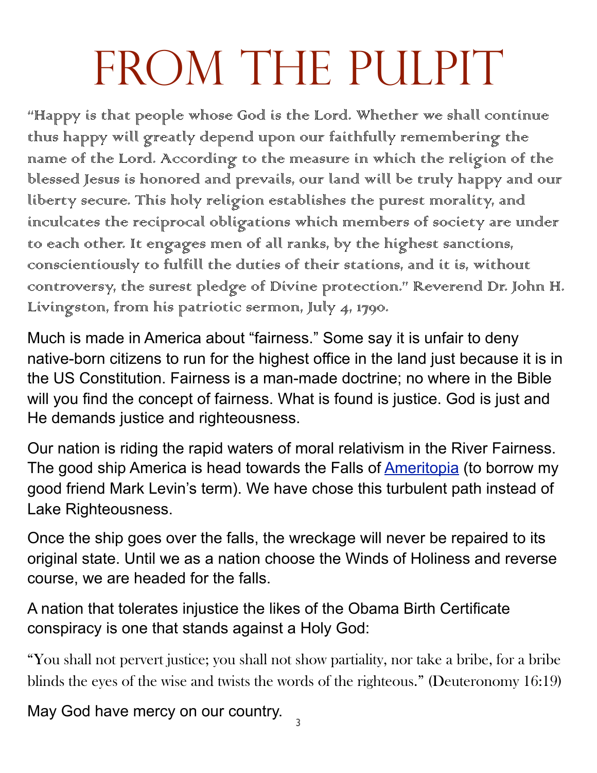## FROM THE PULPIT

"Happy is that people whose God is the Lord. Whether we shall continue thurs happy will greatly depend urpon our faithfully remembering the name of the Lord. According to the measure in which the religion of the blessed Jesus is honored and prevails, our land will be truly happy and our liberty secure. This holy religion establishes the purest morality, and inculcates the reciprocal obligations which members of society are under to each other. It engages men of all ranks, by the highest sanctions, conscientiously to fulfill the duties of their stations, and it is, without controversy, the surest pledge of Divine protection." Reverend Dr. John H. Livingston, from his patriotic sermon, July 4, 1790.

Much is made in America about "fairness." Some say it is unfair to deny native-born citizens to run for the highest office in the land just because it is in the US Constitution. Fairness is a man-made doctrine; no where in the Bible will you find the concept of fairness. What is found is justice. God is just and He demands justice and righteousness.

Our nation is riding the rapid waters of moral relativism in the River Fairness. The good ship America is head towards the Falls of **Ameritopia** (to borrow my good friend Mark Levin's term). We have chose this turbulent path instead of Lake Righteousness.

Once the ship goes over the falls, the wreckage will never be repaired to its original state. Until we as a nation choose the Winds of Holiness and reverse course, we are headed for the falls.

A nation that tolerates injustice the likes of the Obama Birth Certificate conspiracy is one that stands against a Holy God:

"You shall not pervert justice; you shall not show partiality, nor take a bribe, for a bribe blinds the eyes of the wise and twists the words of the righteous." (Deuteronomy 16:19)

May God have mercy on our country.